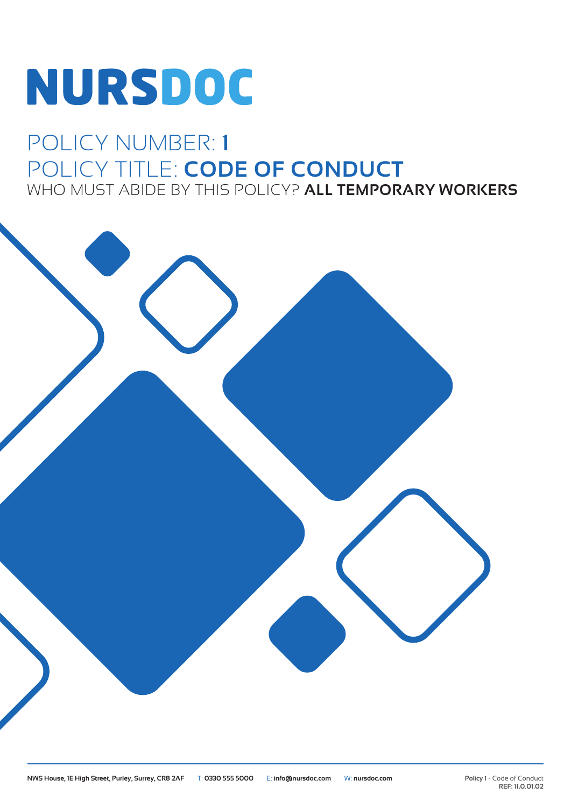# NURSDOC

## POLICY NUMBER: **1** POLICY TITLE: **CODE OF CONDUCT** WHO MUST ABIDE BY THIS POLICY? **ALL TEMPORARY WORKERS**